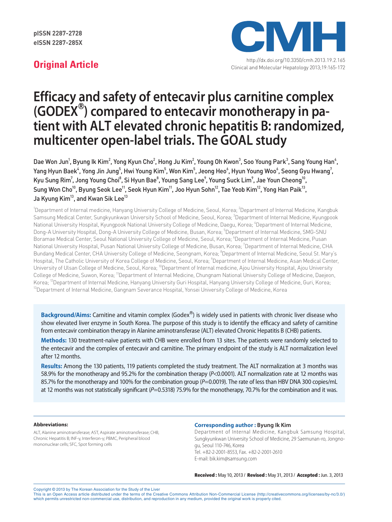pISSN 2287-2728 eISSN 2287-285X



http://dx.doi.org/10.3350/cmh.2013.19.2.165 **Original Article** Clinical and Molecular Hepatology 2013;19:165-172

# **Efficacy and safety of entecavir plus carnitine complex (GODEX**Ⓡ **) compared to entecavir monotherapy in pa tient with ALT elevated chronic hepatitis B: randomized, multicenter open-label trials. The GOAL study**

Dae Won Jun<sup>1</sup>, Byung Ik Kim<sup>2</sup>, Yong Kyun Cho<sup>2</sup>, Hong Ju Kim<sup>2</sup>, Young Oh Kwon<sup>3</sup>, Soo Young Park<sup>3</sup>, Sang Young Han<sup>4</sup>, Yang Hyun Baek $^4$ , Yong Jin Jung $^5$ , Hwi Young Kim $^5$ , Won Kim $^5$ , Jeong Heo $^6$ , Hyun Young Woo $^6$ , Seong Gyu Hwang $^7$ , Kyu Sung Rim<sup>7</sup>, Jong Young Choi<sup>8</sup>, Si Hyun Bae<sup>8</sup>, Young Sang Lee<sup>9</sup>, Young Suck Lim<sup>9</sup>, Jae Youn Cheong<sup>10</sup>, Sung Won Cho<sup>10</sup>, Byung Seok Lee<sup>11</sup>, Seok Hyun Kim<sup>11</sup>, Joo Hyun Sohn<sup>12</sup>, Tae Yeob Kim<sup>12</sup>, Yong Han Paik<sup>13</sup>, Ja Kyung Kim<sup>13</sup>, and Kwan Sik Lee<sup>13</sup>

<sup>1</sup>Department of Internal medicine, Hanyang University College of Medicine, Seoul, Korea; <sup>2</sup>Department of Internal Medicine, Kangbuk Samsung Medical Center, Sungkyunkwan University School of Medicine, Seoul, Korea; <sup>3</sup>Department of Internal Medicine, Kyungpook National University Hospital, Kyungpook National University College of Medicine, Daegu, Korea; <sup>4</sup>Department of Internal Medicine, Dong-A University Hospital, Dong-A University College of Medicine, Busan, Korea; 5 Department of Internal Medicine, SMG-SNU Boramae Medical Center, Seoul National University College of Medicine, Seoul, Korea; <sup>6</sup>Department of Internal Medicine, Pusan National University Hospital, Pusan National University College of Medicine, Busan, Korea; 7 Department of Internal Medicine, CHA Bundang Medical Center, CHA University College of Medicine, Seongnam, Korea; <sup>8</sup>Department of Internal Medicine, Seoul St. Mary's Hospital, The Catholic University of Korea College of Medicine, Seoul, Korea; <sup>9</sup>Department of Internal Medicine, Asan Medical Center, University of Ulsan College of Medicine, Seoul, Korea; <sup>10</sup>Department of Internal medicine, Ajou University Hospital, Ajou University College of Medicine, Suwon, Korea; <sup>11</sup>Department of Internal Medicine, Chungnam National University College of Medicine, Daejeon, Korea; <sup>12</sup>Department of Internal Medicine, Hanyang University Guri Hospital, Hanyang University College of Medicine, Guri, Korea;<br><sup>13</sup>Department of Internal Medicine, Gangnam Severance Hospital, Yonsei University College

**Background/Aims:** Carnitine and vitamin complex (Godex<sup>®</sup>) is widely used in patients with chronic liver disease who show elevated liver enzyme in South Korea. The purpose of this study is to identify the efficacy and safety of carnitine from entecavir combination therapy in Alanine aminotransferase (ALT) elevated Chronic Hepatitis B (CHB) patients.

**Methods:** 130 treatment-naïve patients with CHB were enrolled from 13 sites. The patients were randomly selected to the entecavir and the complex of entecavir and carnitine. The primary endpoint of the study is ALT normalization level after 12 months.

**Results:** Among the 130 patients, 119 patients completed the study treatment. The ALT normalization at 3 months was 58.9% for the monotherapy and 95.2% for the combination therapy (*P*<0.0001). ALT normalization rate at 12 months was 85.7% for the monotherapy and 100% for the combination group ( $P=0.0019$ ). The rate of less than HBV DNA 300 copies/mL at 12 months was not statistically significant  $(P=0.5318)$  75.9% for the monotherapy, 70.7% for the combination and it was.

#### **Abbreviations:**

ALT, Alanine aminotransferase; AST, Aspirate aminotransferase; CHB, Chronic Hepatitis B; INF-γ, Interferon-γ; PBMC, Peripheral blood mononuclear cells; SFC, Spot forming cells

#### **Corresponding author : Byung Ik Kim**

Department of Internal Medicine, Kangbuk Samsung Hospital, Sungkyunkwan University School of Medicine, 29 Saemunan-ro, Jongnogu, Seoul 110-746, Korea Tel. +82-2-2001-8553, Fax. +82-2-2001-2610 E-mail: bik.kim@samsung.com

Received : May 10, 2013 / Revised : May 31, 2013 / Accepted : Jun. 3, 2013

Copyright © 2013 by The Korean Association for the Study of the Liver

This is an Open Access article distributed under the terms of the Creative Commons Attribution Non-Commercial License (http://creativecommons.org/licenses/by-nc/3.0/) which permits unrestricted non-commercial use, distribution, and reproduction in any medium, provided the original work is properly cited.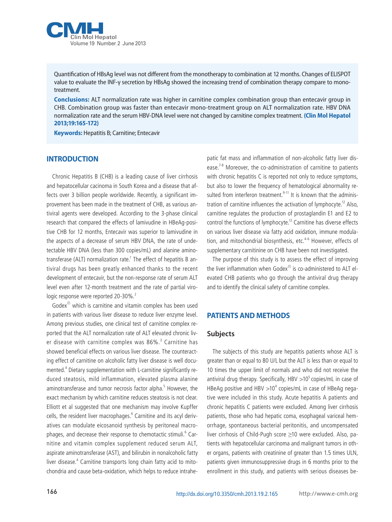

Quantification of HBsAg level was not different from the monotherapy to combination at 12 months. Changes of ELISPOT value to evaluate the INF-γ secretion by HBsAg showed the increasing trend of combination therapy compare to monotreatment.

**Conclusions:** ALT normalization rate was higher in carnitine complex combination group than entecavir group in CHB. Combination group was faster than entecavir mono-treatment group on ALT normalization rate. HBV DNA normalization rate and the serum HBV-DNA level were not changed by carnitine complex treatment. **(Clin Mol Hepatol 2013;19:165-172)**

**Keywords:** Hepatitis B; Carnitine; Entecavir

### **INTRODUCTION**

Chronic Hepatitis B (CHB) is a leading cause of liver cirrhosis and hepatocellular cacinoma in South Korea and a disease that affects over 3 billion people worldwide. Recently, a significant improvement has been made in the treatment of CHB, as various antiviral agents were developed. According to the 3-phase clinical research that compared the effects of lamivudine in HBeAg-positive CHB for 12 months, Entecavir was superior to lamivudine in the aspects of a decrease of serum HBV DNA, the rate of undetectable HBV DNA (less than 300 copies/mL) and alanine aminotransferase (ALT) normalization rate.<sup>1</sup> The effect of hepatitis B antiviral drugs has been greatly enhanced thanks to the recent development of entecavir, but the non-response rate of serum ALT level even after 12-month treatment and the rate of partial virologic response were reported 20-30%.<sup>2</sup>

Godex<sup>®</sup> which is carnitine and vitamin complex has been used in patients with various liver disease to reduce liver enzyme level. Among previous studies, one clinical test of carnitine complex reported that the ALT normalization rate of ALT elevated chronic liver disease with carnitine complex was 86%.<sup>3</sup> Carnitine has showed beneficial effects on various liver disease. The counteracting effect of carnitine on alcoholic fatty liver disease is well documented.<sup>4</sup> Dietary supplementation with L-carnitine significantly reduced steatosis, mild inflammation, elevated plasma alanine aminotransferase and tumor necrosis factor alpha.<sup>5</sup> However, the exact mechanism by which carnitine reduces steatosis is not clear. Elliott et al suggested that one mechanism may involve Kupffer cells, the resident liver macrophages.<sup>6</sup> Carnitine and its acyl derivatives can modulate eicosanoid synthesis by peritoneal macrophages, and decrease their response to chemotactic stimuli.<sup>6</sup> Carnitine and vitamin complex supplement reduced serum ALT, aspirate aminotransferase (AST), and bilirubin in nonalcoholic fatty liver disease.<sup>4</sup> Carnitine transports long chain fatty acid to mitochondria and cause beta-oxidation, which helps to reduce intrahepatic fat mass and inflammation of non-alcoholic fatty liver disease.<sup>7-8</sup> Moreover, the co-administration of carnitine to patients with chronic hepatitis C is reported not only to reduce symptoms, but also to lower the frequency of hematological abnormality resulted from interferon treatment.<sup>9-11</sup> It is known that the administration of carnitine influences the activation of lymphocyte.<sup>12</sup> Also, carnitine regulates the production of prostaglandin E1 and E2 to control the functions of lymphocyte.<sup>12</sup> Carnitine has diverse effects on various liver disease via fatty acid oxidation, immune modulation, and mitochondrial biosynthesis, etc.<sup>4-6</sup> However, effects of supplementary carnitinine on CHB have been not investigated.

The purpose of this study is to assess the effect of improving the liver inflammation when Godex<sup>®</sup> is co-administered to ALT elevated CHB patients who go through the antiviral drug therapy and to identify the clinical safety of carnitine complex.

#### **PATIENTS AND METHODS**

#### **Subjects**

The subjects of this study are hepatitis patients whose ALT is greater than or equal to 80 U/L but the ALT is less than or equal to 10 times the upper limit of normals and who did not receive the antiviral drug therapy. Specifically, HBV  $>10^5$  copies/mL in case of HBeAg positive and HBV  $>10^4$  copies/mL in case of HBeAg negative were included in this study. Acute hepatitis A patients and chronic hepatitis C patients were excluded. Among liver cirrhosis patients, those who had hepatic coma, esophageal variceal hemorrhage, spontaneous bacterial peritonitis, and uncompensated liver cirrhosis of Child-Pugh score ≥10 were excluded. Also, patients with hepatocellular carcinoma and malignant tumors in other organs, patients with creatinine of greater than 1.5 times ULN, patients given immunosuppressive drugs in 6 months prior to the enrollment in this study, and patients with serious diseases be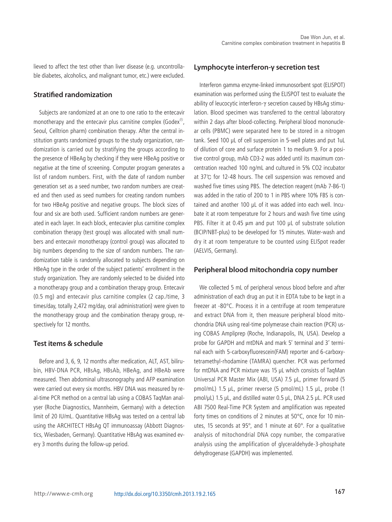lieved to affect the test other than liver disease (e.g. uncontrollable diabetes, alcoholics, and malignant tumor, etc.) were excluded.

#### **Stratified randomization**

Subjects are randomized at an one to one ratio to the entecavir monotherapy and the entecavir plus carnitine complex (Godex<sup>®</sup>, Seoul, Celltrion pharm) combination therapy. After the central institution grants randomized groups to the study organization, randomization is carried out by stratifying the groups according to the presence of HBeAg by checking if they were HBeAg positive or negative at the time of screening. Computer program generates a list of random numbers. First, with the date of random number generation set as a seed number, two random numbers are created and then used as seed numbers for creating random numbers for two HBeAg positive and negative groups. The block sizes of four and six are both used. Sufficient random numbers are generated in each layer. In each block, entecavier plus carnitine complex combination therapy (test group) was allocated with small numbers and entecavir monotherapy (control group) was allocated to big numbers depending to the size of random numbers. The randomization table is randomly allocated to subjects depending on HBeAg type in the order of the subject patients' enrollment in the study organization. They are randomly selected to be divided into a monotherapy group and a combination therapy group. Entecavir (0.5 mg) and entecavir plus carnitine complex (2 cap./time, 3 times/day, totally 2,472 mg/day, oral administration) were given to the monotherapy group and the combination therapy group, respectively for 12 months.

#### **Test items & schedule**

Before and 3, 6, 9, 12 months after medication, ALT, AST, bilirubin, HBV-DNA PCR, HBsAg, HBsAb, HBeAg, and HBeAb were measured. Then abdominal ultrasonography and AFP examination were carried out every six months. HBV DNA was measured by real-time PCR method on a central lab using a COBAS TaqMan analyser (Roche Diagnostics, Mannheim, Germany) with a detection limit of 20 IU/mL. Quantitative HBsAg was tested on a central lab using the ARCHITECT HBsAg QT immunoassay (Abbott Diagnostics, Wiesbaden, Germany). Quantitative HBsAg was examined every 3 months during the follow-up period.

#### **Lymphocyte interferon-γ secretion test**

Interferon gamma enzyme-linked immunosorbent spot (ELISPOT) examination was performed using the ELISPOT test to evaluate the ability of leucocytic interferon-γ secretion caused by HBsAg stimulation. Blood specimen was transferred to the central laboratory within 2 days after blood-collecting. Peripheral blood mononuclear cells (PBMC) were separated here to be stored in a nitrogen tank. Seed 100 μL of cell suspension in 5-well plates and put 1uL of dilution of core and surface protein 1 to medium 9. For a positive control group, mAb CD3-2 was added until its maximum concentration reached 100 ng/mL and cultured in 5% CO2 incubator at 37℃ for 12-48 hours. The cell suspension was removed and washed five times using PBS. The detection reagent (mAb 7-B6-1) was added in the ratio of 200 to 1 in PBS where 10% FBS is contained and another 100 μL of it was added into each well. Incubate it at room temperature for 2 hours and wash five time using PBS. Filter it at 0.45 μm and put 100 μL of substrate solution (BCIP/NBT-plus) to be developed for 15 minutes. Water-wash and dry it at room temperature to be counted using ELISpot reader (AELVIS, Germany).

#### **Peripheral blood mitochondria copy number**

We collected 5 mL of peripheral venous blood before and after administration of each drug an put it in EDTA tube to be kept in a freezer at -80°C. Process it in a centrifuge at room temperature and extract DNA from it, then measure peripheral blood mitochondria DNA using real-time polymerase chain reaction (PCR) using COBAS Ampliprep (Roche, Indianapolis, IN, USA). Develop a probe for GAPDH and mtDNA and mark 5' terminal and 3' terminal each with 5-carboxyfluorescein(FAM) reporter and 6-carboxytetramethyl-rhodamine (TAMRA) quencher. PCR was performed for mtDNA and PCR mixture was 15 μL which consists of TaqMan Universal PCR Master Mix (ABI, USA) 7.5 μL, primer forward (5 pmol/mL) 1.5 μL, primer reverse (5 pmol/mL) 1.5 μL, probe (1 pmol/μL) 1.5 μL, and distilled water 0.5 μL, DNA 2.5 μL. PCR used ABI 7500 Real-Time PCR System and amplification was repeated forty times on conditions of 2 minutes at 50°C, once for 10 minutes, 15 seconds at 95°, and 1 minute at 60°. For a qualitative analysis of mitochondrial DNA copy number, the comparative analysis using the amplification of glyceraldehyde-3-phosphate dehydrogenase (GAPDH) was implemented.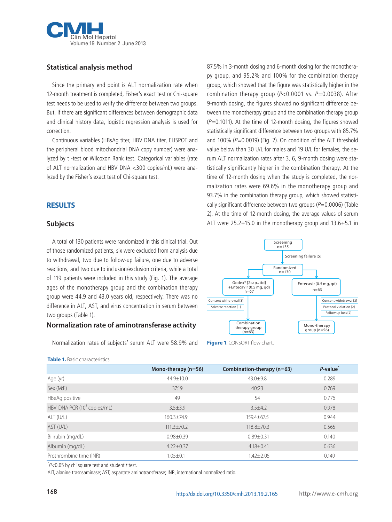

# **Statistical analysis method**

Since the primary end point is ALT normalization rate when 12-month treatment is completed, Fisher's exact test or Chi-square test needs to be used to verify the difference between two groups. But, if there are significant differences between demographic data and clinical history data, logistic regression analysis is used for correction.

Continuous variables (HBsAg titer, HBV DNA titer, ELISPOT and the peripheral blood mitochondrial DNA copy number) were analyzed by t -test or Wilcoxon Rank test. Categorical variables (rate of ALT normalization and HBV DNA <300 copies/mL) were analyzed by the Fisher's exact test of Chi-square test.

### **RESULTS**

#### **Subjects**

A total of 130 patients were randomized in this clinical trial. Out of those randomized patients, six were excluded from analysis due to withdrawal, two due to follow-up failure, one due to adverse reactions, and two due to inclusion/exclusion criteria, while a total of 119 patients were included in this study (Fig. 1). The average ages of the monotherapy group and the combination therapy group were 44.9 and 43.0 years old, respectively. There was no difference in ALT, AST, and virus concentration in serum between two groups (Table 1).

### **Normalization rate of aminotransferase activity**

Normalization rates of subjects' serum ALT were 58.9% and

**Table 1.** Basic characteristics

| 87.5% in 3-month dosing and 6-month dosing for the monothera-           |
|-------------------------------------------------------------------------|
| py group, and 95.2% and 100% for the combination therapy                |
| group, which showed that the figure was statistically higher in the     |
| combination therapy group ( $P < 0.0001$ vs. $P = 0.0038$ ). After      |
| 9-month dosing, the figures showed no significant difference be-        |
| tween the monotherapy group and the combination therapy group           |
| $(P=0.1011)$ . At the time of 12-month dosing, the figures showed       |
| statistically significant difference between two groups with 85.7%      |
| and 100% ( $P=0.0019$ ) (Fig. 2). On condition of the ALT threshold     |
| value below than 30 U/L for males and 19 U/L for females, the se-       |
| rum ALT normalization rates after 3, 6, 9-month dosing were sta-        |
| tistically significantly higher in the combination therapy. At the      |
| time of 12-month dosing when the study is completed, the nor-           |
| malization rates were 69.6% in the monotherapy group and                |
| 93.7% in the combination therapy group, which showed statisti-          |
| cally significant difference between two groups ( $P=0.0006$ ) (Table   |
| 2). At the time of 12-month dosing, the average values of serum         |
| ALT were $25.2 \pm 15.0$ in the monotherapy group and $13.6 \pm 5.1$ in |



**Figure 1. CONSORT flow chart.** 

|                                         | Mono-therapy (n=56) | Combination-therapy (n=63) | P-value <sup>®</sup> |
|-----------------------------------------|---------------------|----------------------------|----------------------|
| Age (yr)                                | $44.9 + 10.0$       | $43.0 + 9.8$               | 0.289                |
| Sex (M:F)                               | 37:19               | 40:23                      | 0.769                |
| HBeAg positive                          | 49                  | 54                         | 0.776                |
| HBV-DNA PCR (10 <sup>8</sup> copies/mL) | $3.5 \pm 3.9$       | $3.5 + 4.2$                | 0.978                |
| ALT (U/L)                               | $160.3 + 74.9$      | 159.4±67.5                 | 0.944                |
| AST (U/L)                               | $111.3 \pm 70.2$    | 118.8±70.3                 | 0.565                |
| Bilirubin (mg/dL)                       | $0.98 \pm 0.39$     | $0.89 + 0.31$              | 0.140                |
| Albumin (mg/dL)                         | $4.22 + 0.37$       | $4.18 + 0.41$              | 0.636                |
| Prothrombine time (INR)                 | $1.05 \pm 0.1$      | $1.42 + 2.05$              | 0.149                |

 $p$  /  $\geq$  0.05 by chi square test and student t test.

ALT, alanine trasnsaminase; AST, aspartate aminotransferase; INR, international normalized ratio.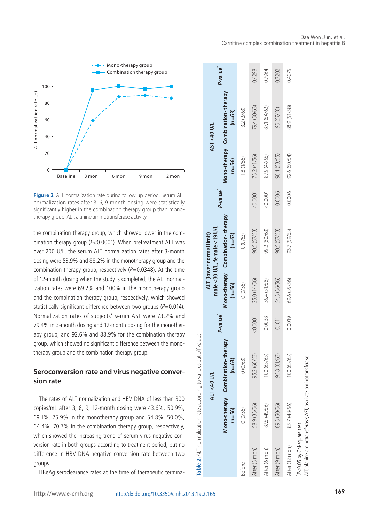



**Figure 2.** ALT normalization rate during follow up period. Serum ALT normalization rates after 3, 6, 9-month dosing were statistically significantly higher in the combination therapy group than monotherapy group. ALT, alanine aminotransferase activity.

the combination therapy group, which showed lower in the combination therapy group (P<0.0001). When pretreatment ALT was over 200 U/L, the serum ALT normalization rates after 3-month dosing were 53.9% and 88.2% in the monotherapy group and the combination therapy group, respectively  $(P=0.0348)$ . At the time of 12-month dosing when the study is completed, the ALT normalization rates were 69.2% and 100% in the monotherapy group and the combination therapy group, respectively, which showed statistically significant difference between two groups  $(P=0.014)$ . Normalization rates of subjects' serum AST were 73.2% and 79.4% in 3-month dosing and 12-month dosing for the monotherapy group, and 92.6% and 88.9% for the combination therapy group, which showed no significant difference between the monotherapy group and the combination therapy group.

# **Seroconversion rate and virus negative conversion rate**

The rates of ALT normalization and HBV DNA of less than 300 copies/mL after 3, 6, 9, 12-month dosing were 43.6%, 50.9%, 69.1%, 75.9% in the monotherapy group and 54.8%, 50.0%, 64.4%, 70.7% in the combination therapy group, respectively, which showed the increasing trend of serum virus negative conversion rate in both groups according to treatment period, but no difference in HBV DNA negative conversion rate between two groups.

HBeAg seroclearance rates at the time of therapeutic termina-

| Mono-therapy Combination-therapy<br>88.9 (51/58)<br>79.4 (50/63)<br>87.1 (54/62)<br>95 (57/60)<br>3.2 (2/63)<br>$(n=63)$<br>92.6 (50/54)<br>73.2 (41/56)<br>96.4 (53/55)<br>87.5 (47/55)<br>1.8(1/56)<br>$(n=56)$<br>P-value <sup>*</sup><br>$-0.0001$<br>0.0006<br>0.0006<br>$-0.0001$<br>Mono-therapy Combination-therapy<br>95.2 (60/63)<br>90.5 (57/63)<br>90.5 (57/63)<br>93.7 (59/63)<br>$(n=63)$<br>0(0/63)<br>64.3 (36/56)<br>25.0 (14/56)<br>69.6 (39/56)<br>55.4 (31/56)<br>$(n=56)$<br>0(0/56)<br>P-value <sup>*</sup><br>0.0038<br>$-0.0001$<br>0.0019<br>0.1011<br>Mono-therapy Combination-therapy<br>95.2 (60/63)<br>96.8 (61/63)<br>100 (63/63)<br>100 (63/63)<br>$(n=63)$<br>0(0/63)<br>85.7 (48/56)<br>58.9 (33/56)<br>87.5 (49/56)<br>89.3 (50/56)<br>0(0/56)<br>$(n=56)$<br>After (12 mon)<br>After (3 mon)<br>After (6 mon)<br>After (9 mon)<br>Before |  | ALT <40 U/L |  | male <30 U/L, female <19 U/L<br>ALT (lower normal limit) |  | AST <40 U/L |                      |
|-----------------------------------------------------------------------------------------------------------------------------------------------------------------------------------------------------------------------------------------------------------------------------------------------------------------------------------------------------------------------------------------------------------------------------------------------------------------------------------------------------------------------------------------------------------------------------------------------------------------------------------------------------------------------------------------------------------------------------------------------------------------------------------------------------------------------------------------------------------------------------|--|-------------|--|----------------------------------------------------------|--|-------------|----------------------|
|                                                                                                                                                                                                                                                                                                                                                                                                                                                                                                                                                                                                                                                                                                                                                                                                                                                                             |  |             |  |                                                          |  |             | P-value <sup>"</sup> |
|                                                                                                                                                                                                                                                                                                                                                                                                                                                                                                                                                                                                                                                                                                                                                                                                                                                                             |  |             |  |                                                          |  |             |                      |
|                                                                                                                                                                                                                                                                                                                                                                                                                                                                                                                                                                                                                                                                                                                                                                                                                                                                             |  |             |  |                                                          |  |             | 0.4298               |
|                                                                                                                                                                                                                                                                                                                                                                                                                                                                                                                                                                                                                                                                                                                                                                                                                                                                             |  |             |  |                                                          |  |             | 0.7964               |
|                                                                                                                                                                                                                                                                                                                                                                                                                                                                                                                                                                                                                                                                                                                                                                                                                                                                             |  |             |  |                                                          |  |             | 0.7202               |
|                                                                                                                                                                                                                                                                                                                                                                                                                                                                                                                                                                                                                                                                                                                                                                                                                                                                             |  |             |  |                                                          |  |             | 0.4075               |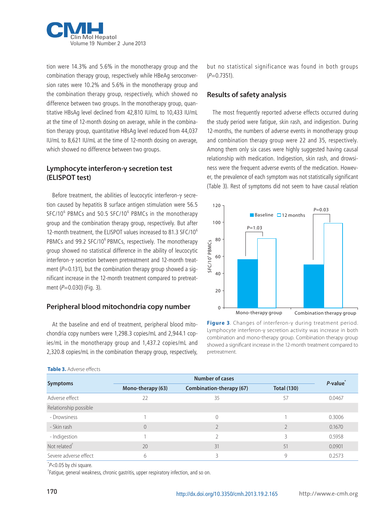

tion were 14.3% and 5.6% in the monotherapy group and the combination therapy group, respectively while HBeAg seroconversion rates were 10.2% and 5.6% in the monotherapy group and the combination therapy group, respectively, which showed no difference between two groups. In the monotherapy group, quantitative HBsAg level declined from 42,810 IU/mL to 10,433 IU/mL at the time of 12-month dosing on average, while in the combination therapy group, quantitative HBsAg level reduced from 44,037 IU/mL to 8,621 IU/mL at the time of 12-month dosing on average, which showed no difference between two groups.

# **Lymphocyte interferon-γ secretion test (ELISPOT test)**

Before treatment, the abilities of leucocytic interferon-γ secretion caused by hepatitis B surface antigen stimulation were 56.5 SFC/10<sup>6</sup> PBMCs and 50.5 SFC/10<sup>6</sup> PBMCs in the monotherapy group and the combination therapy group, respectively. But after 12-month treatment, the ELISPOT values increased to 81.3 SFC/10<sup>6</sup> PBMCs and 99.2 SFC/10<sup>6</sup> PBMCs, respectively. The monotherapy group showed no statistical difference in the ability of leucocytic interferon-γ secretion between pretreatment and 12-month treatment ( $P=0.131$ ), but the combination therapy group showed a significant increase in the 12-month treatment compared to pretreatment  $(P=0.030)$  (Fig. 3).

### **Peripheral blood mitochondria copy number**

At the baseline and end of treatment, peripheral blood mitochondria copy numbers were 1,298.3 copies/mL and 2,944.1 copies/mL in the monotherapy group and 1,437.2 copies/mL and 2,320.8 copies/mL in the combination therapy group, respectively, but no statistical significance was found in both groups  $(P=0.7351)$ .

#### **Results of safety analysis**

The most frequently reported adverse effects occurred during the study period were fatigue, skin rash, and indigestion. During 12-months, the numbers of adverse events in monotherapy group and combination therapy group were 22 and 35, respectively. Among them only six cases were highly suggested having causal relationship with medication. Indigestion, skin rash, and drowsiness were the frequent adverse events of the medication. However, the prevalence of each symptom was not statistically significant (Table 3). Rest of symptoms did not seem to have causal relation



**Figure 3**. Changes of interferon-γ during treatment period. Lymphocyte interferon-γ secretion activity was increase in both combination and mono-therapy group. Combination therapy group showed a significant increase in the 12-month treatment compared to pretreatment.

*P***‐value\***

| <b>IMMINISHI</b>      |                   |                          |                    |         |  |  |
|-----------------------|-------------------|--------------------------|--------------------|---------|--|--|
| <b>Symptoms</b>       |                   | <b>Number of cases</b>   |                    |         |  |  |
|                       | Mono-therapy (63) | Combination-therapy (67) | <b>Total (130)</b> | P-value |  |  |
| Adverse effect        |                   |                          | 57                 | 0.0467  |  |  |
| Relationship possible |                   |                          |                    |         |  |  |

• Drowsiness 1 0 0.3006 ‐ Skin rash 0 2 2 0.1670 - Indigestion 1 2 3 0.5958 Not related $^{\dagger}$  31 51 0.0901  $^{\dagger}$  31 51 0.0901  $^{\dagger}$  51 0.0901  $^{\dagger}$ Severe adverse effect and the control of the control of the control of the control of the control of the control of the control of the control of the control of the control of the control of the control of the control of t

#### **Table 3.** Adverse effects

 $\check{P}$ <0.05 by chi square.

† Fatigue, general weakness, chronic gastritis, upper respiratory infection, and so on.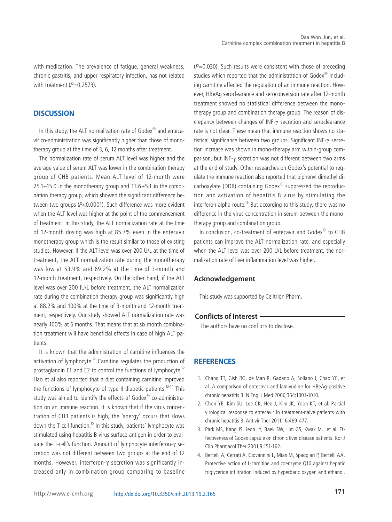with medication. The prevalence of fatigue, general weakness, chronic gastritis, and upper respiratory infection, has not related with treatment  $(P=0.2573)$ .

#### **DISCUSSION**

In this study, the ALT normalization rate of Godex<sup>®</sup> and entecavir co-administration was significantly higher than those of monotherapy group at the time of 3, 6, 12 months after treatment.

The normalization rate of serum ALT level was higher and the average value of serum ALT was lower in the combination therapy group of CHB patients. Mean ALT level of 12-month were  $25.1\pm15.0$  in the monotherapy group and  $13.6\pm5.1$  in the combination therapy group, which showed the significant difference between two groups (P<0.0001). Such difference was more evident when the ALT level was higher at the point of the commencement of treatment. In this study, the ALT normalization rate at the time of 12-month dosing was high at 85.7% even in the entecavir monotherapy group which is the result similar to those of existing studies. However, if the ALT level was over 200 U/L at the time of treatment, the ALT normalization rate during the monotherapy was low at 53.9% and 69.2% at the time of 3-month and 12-month treatment, respectively. On the other hand, if the ALT level was over 200 IU/L before treatment, the ALT normalization rate during the combination therapy group was significantly high at 88.2% and 100% at the time of 3-month and 12-month treatment, respectively. Our study showed ALT normalization rate was nearly 100% at 6 months. That means that at six month combination treatment will have beneficial effects in case of high ALT patients.

It is known that the administration of carnitine influences the activation of lymphocyte.<sup>12</sup> Carnitine regulates the production of prostaglandin E1 and E2 to control the functions of lymphocyte.<sup>12</sup> Hao et al also reported that a diet containing carnitine improved the functions of lymphocyte of type II diabetic patients.<sup>13-14</sup> This study was aimed to identify the effects of Godex<sup>®</sup> co-administration on an immune reaction. It is known that if the virus concentration of CHB patients is high, the 'anergy' occurs that slows down the T-cell function.<sup>15</sup> In this study, patients' lymphocyte was stimulated using hepatitis B virus surface antigen in order to evaluate the T-cell's function. Amount of lymphocyte interferon-γ secretion was not different between two groups at the end of 12 months. However, interferon-γ secretion was significantly increased only in combination group comparing to baseline

 $(P=0.030)$ . Such results were consistent with those of preceding studies which reported that the administration of Godex<sup>®</sup> including carnitine affected the regulation of an immune reaction. However, HBeAg seroclearance and seroconversion rate after 12-month treatment showed no statistical difference between the monotherapy group and combination therapy group. The reason of discrepancy between changes of INF-γ secretion and seroclearance rate is not clear. These mean that immune reaction shows no statistical significance between two groups. Significant INF-γ secretion increase was shown in mono-therapy arm within-group comparison, but INF-γ secretion was not different between two arms at the end of study. Other researches on Godex's potential to regulate the immune reaction also reported that biphenyl dimethyl dicarboxylate (DDB) containing Godex<sup>®</sup> suppressed the reproduction and activation of hepatitis B virus by stimulating the interferon alpha route.<sup>16</sup> But according to this study, there was no difference in the virus concentration in serum between the monotherapy group and combination group.

In conclusion, co-treatment of entecavir and Godex<sup>®</sup> to CHB patients can improve the ALT normalization rate, and especially when the ALT level was over 200 U/L before treatment, the normalization rate of liver inflammation level was higher.

#### **Acknowledgement**

This study was supported by Celltrion Pharm.

#### **Conflicts of Interest**

The authors have no conflicts to disclose.

#### **REFERENCES**

- 1. Chang TT, Gish RG, de Man R, Gadano A, Sollano J, Chao YC, et al. A comparison of entecavir and lamivudine for HBeAg-positive chronic hepatitis B. N Engl J Med 2006;354:1001-1010.
- 2. Chon YE, Kim SU, Lee CK, Heo J, Kim JK, Yoon KT, et al. Partial virological response to entecavir in treatment-naive patients with chronic hepatitis B. Antivir Ther 2011;16:469-477.
- 3. Park MS, Kang JS, Jeon JY, Baek SW, Lim GS, Kwak MJ, et al. Effectiveness of Godex capsule on chronic liver disease patients. Kor J Clin Pharmacol Ther 2001;9:151-162.
- 4. Bertelli A, Cerrati A, Giovannini L, Mian M, Spaggiari P, Bertelli AA. Protective action of L-carnitine and coenzyme Q10 against hepatic triglyceride infiltration induced by hyperbaric oxygen and ethanol.